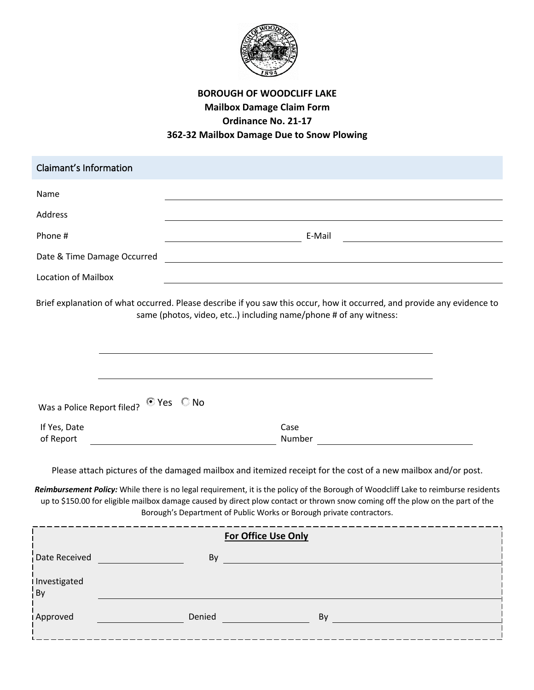

## **BOROUGH OF WOODCLIFF LAKE Mailbox Damage Claim Form Ordinance No. 21-17 362-32 Mailbox Damage Due to Snow Plowing**

| © Yes ○ No                                                                                                                                                                                                                                                                                                                                                                                                                                                     | Brief explanation of what occurred. Please describe if you saw this occur, how it occurred, and provide any evidence to<br>same (photos, video, etc) including name/phone # of any witness: |
|----------------------------------------------------------------------------------------------------------------------------------------------------------------------------------------------------------------------------------------------------------------------------------------------------------------------------------------------------------------------------------------------------------------------------------------------------------------|---------------------------------------------------------------------------------------------------------------------------------------------------------------------------------------------|
|                                                                                                                                                                                                                                                                                                                                                                                                                                                                | Case                                                                                                                                                                                        |
| Please attach pictures of the damaged mailbox and itemized receipt for the cost of a new mailbox and/or post.<br>Reimbursement Policy: While there is no legal requirement, it is the policy of the Borough of Woodcliff Lake to reimburse residents<br>up to \$150.00 for eligible mailbox damage caused by direct plow contact or thrown snow coming off the plow on the part of the<br>Borough's Department of Public Works or Borough private contractors. |                                                                                                                                                                                             |
| <b>For Office Use Only</b>                                                                                                                                                                                                                                                                                                                                                                                                                                     |                                                                                                                                                                                             |
| By                                                                                                                                                                                                                                                                                                                                                                                                                                                             | <u> 1980 - Johann Barn, mars ann an t-Amhain an t-Amhain an t-Amhain an t-Amhain an t-Amhain an t-Amhain an t-Amh</u>                                                                       |
|                                                                                                                                                                                                                                                                                                                                                                                                                                                                |                                                                                                                                                                                             |
| Denied                                                                                                                                                                                                                                                                                                                                                                                                                                                         | By <b>Executive Service Service Service Service</b>                                                                                                                                         |
|                                                                                                                                                                                                                                                                                                                                                                                                                                                                |                                                                                                                                                                                             |